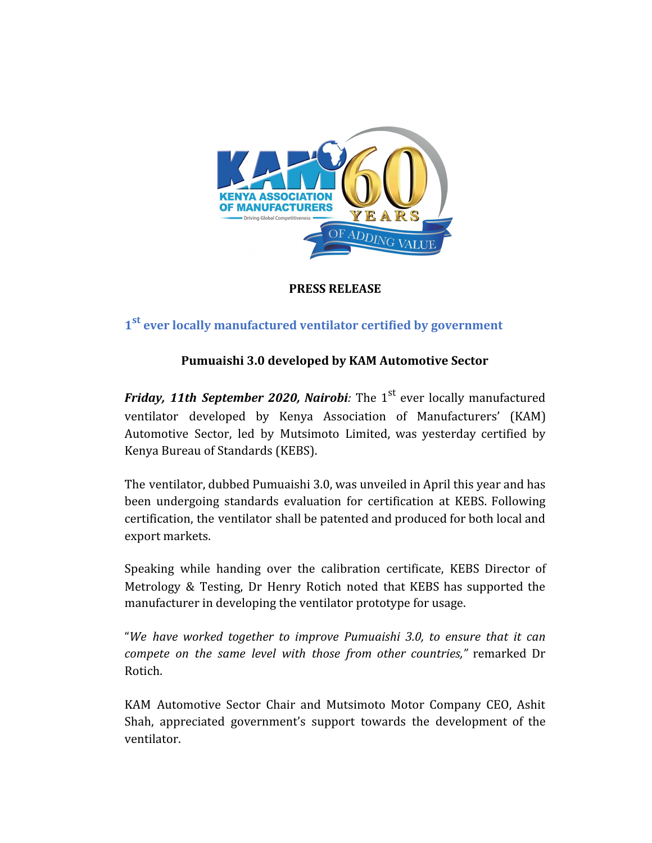

## **PRESS RELEASE**

# **1 st ever locally manufactured ventilator certified by government**

## **Pumuaishi 3.0 developed by KAM Automotive Sector**

*Friday, 11th September 2020, Nairobi:* The 1 st ever locally manufactured ventilator developed by Kenya Association of Manufacturers' (KAM) Automotive Sector, led by Mutsimoto Limited, was yesterday certified by Kenya Bureau of Standards (KEBS).

The ventilator, dubbed Pumuaishi 3.0, was unveiled in April this year and has been undergoing standards evaluation for certification at KEBS. Following certification, the ventilator shall be patented and produced for both local and export markets.

Speaking while handing over the calibration certificate, KEBS Director of Metrology & Testing, Dr Henry Rotich noted that KEBS has supported the manufacturer in developing the ventilator prototype for usage.

"*We have worked together to improve Pumuaishi 3.0, to ensure that it can compete on the same level with those from other countries,"* remarked Dr Rotich.

KAM Automotive Sector Chair and Mutsimoto Motor Company CEO, Ashit Shah, appreciated government's support towards the development of the ventilator.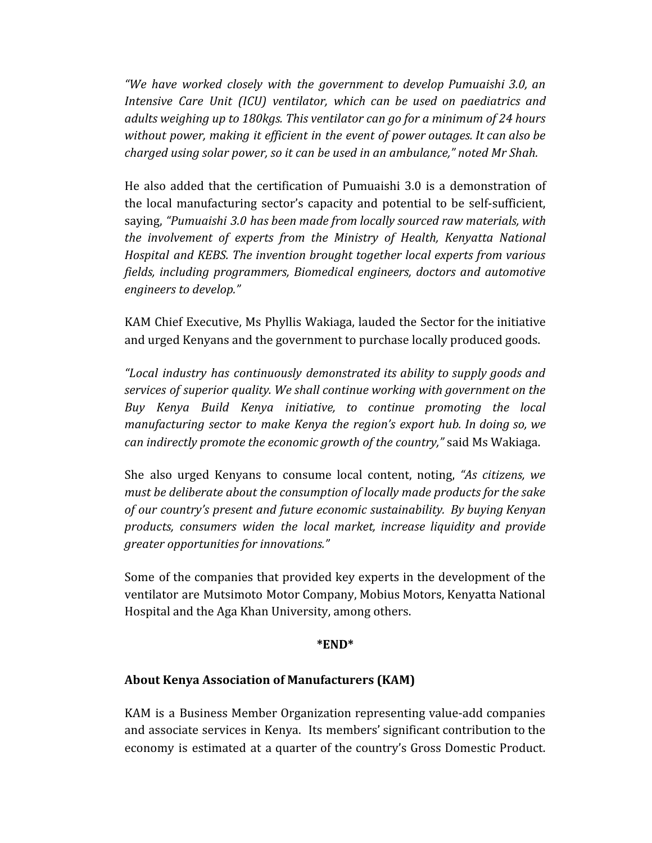*"We have worked closely with the government to develop Pumuaishi 3.0, an Intensive Care Unit (ICU) ventilator, which can be used on paediatrics and adults weighing up to 180kgs. This ventilator can go for a minimum of 24 hours without power, making it efficient in the event of power outages. It can also be charged using solar power, so it can be used in an ambulance," noted Mr Shah.*

He also added that the certification of Pumuaishi 3.0 is a demonstration of the local manufacturing sector's capacity and potential to be self-sufficient, saying, *"Pumuaishi 3.0 has been made from locally sourced raw materials, with the involvement of experts from the Ministry of Health, Kenyatta National Hospital and KEBS. The invention brought together local experts from various fields, including programmers, Biomedical engineers, doctors and automotive engineers to develop."*

KAM Chief Executive, Ms Phyllis Wakiaga, lauded the Sector for the initiative and urged Kenyans and the government to purchase locally produced goods.

*"Local industry has continuously demonstrated its ability to supply goods and services of superior quality. We shall continue working with government on the Buy Kenya Build Kenya initiative, to continue promoting the local manufacturing sector to make Kenya the region's export hub. In doing so, we can indirectly promote the economic growth of the country,"* said Ms Wakiaga.

She also urged Kenyans to consume local content, noting, *"As citizens, we must be deliberate about the consumption of locally made products for the sake of our country's present and future economic sustainability. By buying Kenyan products, consumers widen the local market, increase liquidity and provide greater opportunities for innovations."*

Some of the companies that provided key experts in the development of the ventilator are Mutsimoto Motor Company, Mobius Motors, Kenyatta National Hospital and the Aga Khan University, among others.

#### **\*END\***

#### **About Kenya Association of Manufacturers (KAM)**

KAM is a Business Member Organization representing value-add companies and associate services in Kenya. Its members' significant contribution to the economy is estimated at a quarter of the country's Gross Domestic Product.